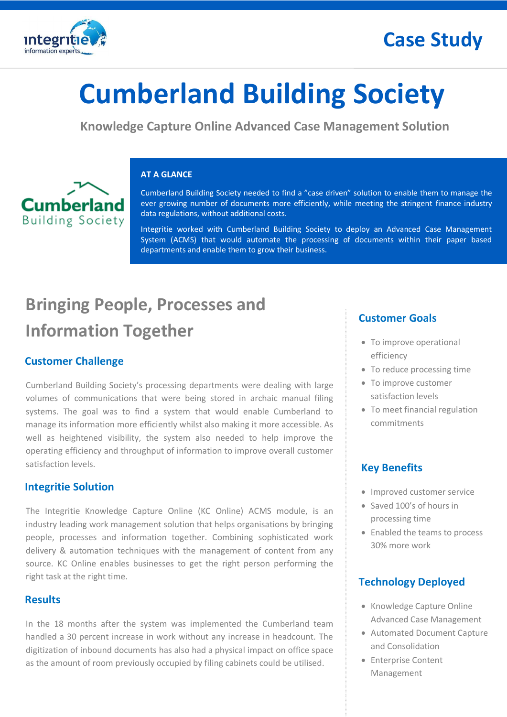

# **Cumberland Building Society**

**Knowledge Capture Online Advanced Case Management Solution**



#### **AT A GLANCE**

Cumberland Building Society needed to find a "case driven" solution to enable them to manage the ever growing number of documents more efficiently, while meeting the stringent finance industry data regulations, without additional costs.

Integritie worked with Cumberland Building Society to deploy an Advanced Case Management System (ACMS) that would automate the processing of documents within their paper based departments and enable them to grow their business.

## **Bringing People, Processes and Information Together**

### **Customer Challenge**

Cumberland Building Society's processing departments were dealing with large volumes of communications that were being stored in archaic manual filing systems. The goal was to find a system that would enable Cumberland to manage its information more efficiently whilst also making it more accessible. As well as heightened visibility, the system also needed to help improve the operating efficiency and throughput of information to improve overall customer satisfaction levels.

### **Integritie Solution**

The Integritie Knowledge Capture Online (KC Online) ACMS module, is an industry leading work management solution that helps organisations by bringing people, processes and information together. Combining sophisticated work delivery & automation techniques with the management of content from any source. KC Online enables businesses to get the right person performing the right task at the right time.

### **Results**

 In the 18 months after the system was implemented the Cumberland team handled a 30 percent increase in work without any increase in headcount. The digitization of inbound documents has also had a physical impact on office space as the amount of room previously occupied by filing cabinets could be utilised.

### **Customer Goals**

- To improve operational efficiency
- To reduce processing time
- To improve customer satisfaction levels
- To meet financial regulation commitments

### **Key Benefits**

- Improved customer service
- Saved 100's of hours in processing time
- Enabled the teams to process 30% more work

### **Technology Deployed**

- Knowledge Capture Online Advanced Case Management
- Automated Document Capture and Consolidation
- Enterprise Content Management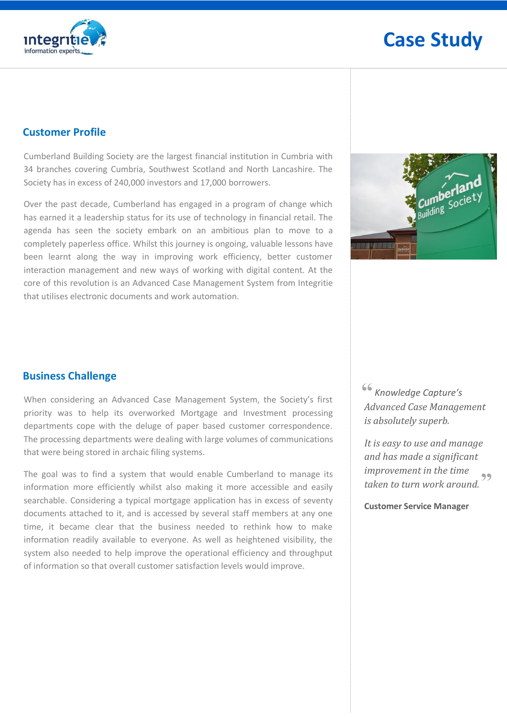

#### **Customer Profile**

Cumberland Building Society are the largest financial institution in Cumbria with 34 branches covering Cumbria, Southwest Scotland and North Lancashire. The Society has in excess of 240,000 investors and 17,000 borrowers.

Over the past decade, Cumberland has engaged in a program of change which has earned it a leadership status for its use of technology in financial retail. The agenda has seen the society embark on an ambitious plan to move to a completely paperless office. Whilst this journey is ongoing, valuable lessons have been learnt along the way in improving work efficiency, better customer interaction management and new ways of working with digital content. At the core of this revolution is an Advanced Case Management System from Integritie that utilises electronic documents and work automation.



### **Business Challenge**

When considering an Advanced Case Management System, the Society's first priority was to help its overworked Mortgage and Investment processing departments cope with the deluge of paper based customer correspondence. The processing departments were dealing with large volumes of communications that were being stored in archaic filing systems.

The goal was to find a system that would enable Cumberland to manage its information more efficiently whilst also making it more accessible and easily searchable. Considering a typical mortgage application has in excess of seventy documents attached to it, and is accessed by several staff members at any one time, it became clear that the business needed to rethink how to make information readily available to everyone. As well as heightened visibility, the system also needed to help improve the operational efficiency and throughput of information so that overall customer satisfaction levels would improve.

 *Knowledge Capture's*  **"***Advanced Case Management is absolutely superb.*

*It is easy to use and manage and has made a significant improvement in the time taken to turn work around.*  **"**

**Customer Service Manager**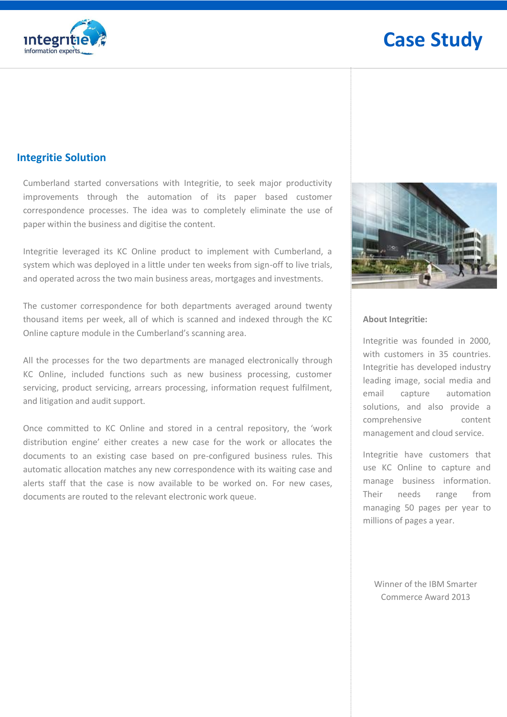

#### **Integritie Solution**

Cumberland started conversations with Integritie, to seek major productivity improvements through the automation of its paper based customer correspondence processes. The idea was to completely eliminate the use of paper within the business and digitise the content.

Integritie leveraged its KC Online product to implement with Cumberland, a system which was deployed in a little under ten weeks from sign-off to live trials, and operated across the two main business areas, mortgages and investments.

The customer correspondence for both departments averaged around twenty thousand items per week, all of which is scanned and indexed through the KC Online capture module in the Cumberland's scanning area.

All the processes for the two departments are managed electronically through KC Online, included functions such as new business processing, customer servicing, product servicing, arrears processing, information request fulfilment, and litigation and audit support.

Once committed to KC Online and stored in a central repository, the 'work distribution engine' either creates a new case for the work or allocates the documents to an existing case based on pre-configured business rules. This automatic allocation matches any new correspondence with its waiting case and alerts staff that the case is now available to be worked on. For new cases, documents are routed to the relevant electronic work queue.



#### **About Integritie:**

Integritie was founded in 2000, with customers in 35 countries. Integritie has developed industry leading image, social media and email capture automation solutions, and also provide a comprehensive content management and cloud service.

Integritie have customers that use KC Online to capture and manage business information. Their needs range from managing 50 pages per year to millions of pages a year.

Winner of the IBM Smarter Commerce Award 2013